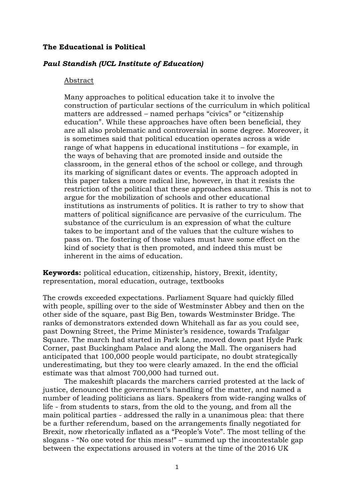# **The Educational is Political**

# *Paul Standish (UCL Institute of Education)*

### Abstract

Many approaches to political education take it to involve the construction of particular sections of the curriculum in which political matters are addressed – named perhaps "civics" or "citizenship education". While these approaches have often been beneficial, they are all also problematic and controversial in some degree. Moreover, it is sometimes said that political education operates across a wide range of what happens in educational institutions – for example, in the ways of behaving that are promoted inside and outside the classroom, in the general ethos of the school or college, and through its marking of significant dates or events. The approach adopted in this paper takes a more radical line, however, in that it resists the restriction of the political that these approaches assume. This is not to argue for the mobilization of schools and other educational institutions as instruments of politics. It is rather to try to show that matters of political significance are pervasive of the curriculum. The substance of the curriculum is an expression of what the culture takes to be important and of the values that the culture wishes to pass on. The fostering of those values must have some effect on the kind of society that is then promoted, and indeed this must be inherent in the aims of education.

**Keywords:** political education, citizenship, history, Brexit, identity, representation, moral education, outrage, textbooks

The crowds exceeded expectations. Parliament Square had quickly filled with people, spilling over to the side of Westminster Abbey and then on the other side of the square, past Big Ben, towards Westminster Bridge. The ranks of demonstrators extended down Whitehall as far as you could see, past Downing Street, the Prime Minister's residence, towards Trafalgar Square. The march had started in Park Lane, moved down past Hyde Park Corner, past Buckingham Palace and along the Mall. The organisers had anticipated that 100,000 people would participate, no doubt strategically underestimating, but they too were clearly amazed. In the end the official estimate was that almost 700,000 had turned out.

The makeshift placards the marchers carried protested at the lack of justice, denounced the government's handling of the matter, and named a number of leading politicians as liars. Speakers from wide-ranging walks of life - from students to stars, from the old to the young, and from all the main political parties - addressed the rally in a unanimous plea: that there be a further referendum, based on the arrangements finally negotiated for Brexit, now rhetorically inflated as a "People's Vote". The most telling of the slogans - "No one voted for this mess!" – summed up the incontestable gap between the expectations aroused in voters at the time of the 2016 UK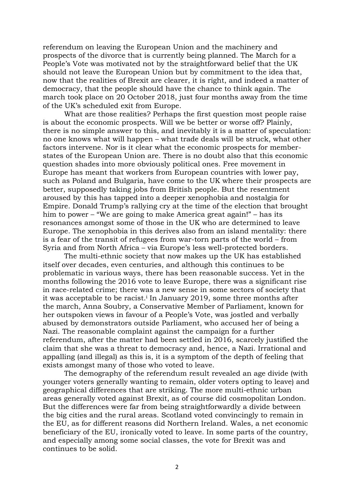referendum on leaving the European Union and the machinery and prospects of the divorce that is currently being planned. The March for a People's Vote was motivated not by the straightforward belief that the UK should not leave the European Union but by commitment to the idea that, now that the realities of Brexit are clearer, it is right, and indeed a matter of democracy, that the people should have the chance to think again. The march took place on 20 October 2018, just four months away from the time of the UK's scheduled exit from Europe.

What are those realities? Perhaps the first question most people raise is about the economic prospects. Will we be better or worse off? Plainly, there is no simple answer to this, and inevitably it is a matter of speculation: no one knows what will happen – what trade deals will be struck, what other factors intervene. Nor is it clear what the economic prospects for memberstates of the European Union are. There is no doubt also that this economic question shades into more obviously political ones. Free movement in Europe has meant that workers from European countries with lower pay, such as Poland and Bulgaria, have come to the UK where their prospects are better, supposedly taking jobs from British people. But the resentment aroused by this has tapped into a deeper xenophobia and nostalgia for Empire. Donald Trump's rallying cry at the time of the election that brought him to power – "We are going to make America great again!" – has its resonances amongst some of those in the UK who are determined to leave Europe. The xenophobia in this derives also from an island mentality: there is a fear of the transit of refugees from war-torn parts of the world – from Syria and from North Africa – via Europe's less well-protected borders.

The multi-ethnic society that now makes up the UK has established itself over decades, even centuries, and although this continues to be problematic in various ways, there has been reasonable success. Yet in the months following the 2016 vote to leave Europe, there was a significant rise in race-related crime; there was a new sense in some sectors of society that it was acceptable to be racist.<sup>i</sup> In January 2019, some three months after the march, Anna Soubry, a Conservative Member of Parliament, known for her outspoken views in favour of a People's Vote, was jostled and verbally abused by demonstrators outside Parliament, who accused her of being a Nazi. The reasonable complaint against the campaign for a further referendum, after the matter had been settled in 2016, scarcely justified the claim that she was a threat to democracy and, hence, a Nazi. Irrational and appalling (and illegal) as this is, it is a symptom of the depth of feeling that exists amongst many of those who voted to leave.

The demography of the referendum result revealed an age divide (with younger voters generally wanting to remain, older voters opting to leave) and geographical differences that are striking. The more multi-ethnic urban areas generally voted against Brexit, as of course did cosmopolitan London. But the differences were far from being straightforwardly a divide between the big cities and the rural areas. Scotland voted convincingly to remain in the EU, as for different reasons did Northern Ireland. Wales, a net economic beneficiary of the EU, ironically voted to leave. In some parts of the country, and especially among some social classes, the vote for Brexit was and continues to be solid.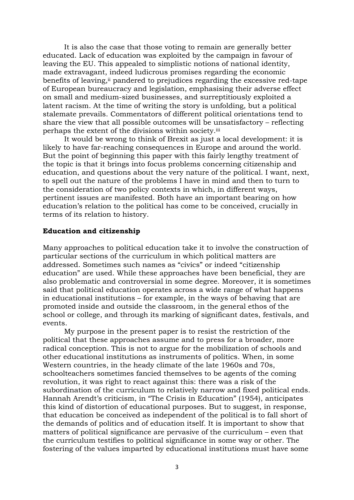It is also the case that those voting to remain are generally better educated. Lack of education was exploited by the campaign in favour of leaving the EU. This appealed to simplistic notions of national identity, made extravagant, indeed ludicrous promises regarding the economic benefits of leaving, ii pandered to prejudices regarding the excessive red-tape of European bureaucracy and legislation, emphasising their adverse effect on small and medium-sized businesses, and surreptitiously exploited a latent racism. At the time of writing the story is unfolding, but a political stalemate prevails. Commentators of different political orientations tend to share the view that all possible outcomes will be unsatisfactory – reflecting perhaps the extent of the divisions within society.iii

It would be wrong to think of Brexit as just a local development: it is likely to have far-reaching consequences in Europe and around the world. But the point of beginning this paper with this fairly lengthy treatment of the topic is that it brings into focus problems concerning citizenship and education, and questions about the very nature of the political. I want, next, to spell out the nature of the problems I have in mind and then to turn to the consideration of two policy contexts in which, in different ways, pertinent issues are manifested. Both have an important bearing on how education's relation to the political has come to be conceived, crucially in terms of its relation to history.

## **Education and citizenship**

Many approaches to political education take it to involve the construction of particular sections of the curriculum in which political matters are addressed. Sometimes such names as "civics" or indeed "citizenship education" are used. While these approaches have been beneficial, they are also problematic and controversial in some degree. Moreover, it is sometimes said that political education operates across a wide range of what happens in educational institutions – for example, in the ways of behaving that are promoted inside and outside the classroom, in the general ethos of the school or college, and through its marking of significant dates, festivals, and events.

My purpose in the present paper is to resist the restriction of the political that these approaches assume and to press for a broader, more radical conception. This is not to argue for the mobilization of schools and other educational institutions as instruments of politics. When, in some Western countries, in the heady climate of the late 1960s and 70s, schoolteachers sometimes fancied themselves to be agents of the coming revolution, it was right to react against this: there was a risk of the subordination of the curriculum to relatively narrow and fixed political ends. Hannah Arendt's criticism, in "The Crisis in Education" (1954), anticipates this kind of distortion of educational purposes. But to suggest, in response, that education be conceived as independent of the political is to fall short of the demands of politics and of education itself. It is important to show that matters of political significance are pervasive of the curriculum – even that the curriculum testifies to political significance in some way or other. The fostering of the values imparted by educational institutions must have some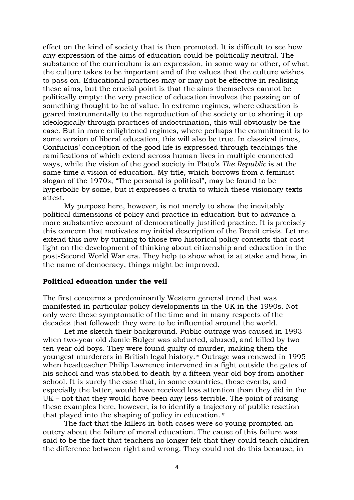effect on the kind of society that is then promoted. It is difficult to see how any expression of the aims of education could be politically neutral. The substance of the curriculum is an expression, in some way or other, of what the culture takes to be important and of the values that the culture wishes to pass on. Educational practices may or may not be effective in realising these aims, but the crucial point is that the aims themselves cannot be politically empty: the very practice of education involves the passing on of something thought to be of value. In extreme regimes, where education is geared instrumentally to the reproduction of the society or to shoring it up ideologically through practices of indoctrination, this will obviously be the case. But in more enlightened regimes, where perhaps the commitment is to some version of liberal education, this will also be true. In classical times, Confucius' conception of the good life is expressed through teachings the ramifications of which extend across human lives in multiple connected ways, while the vision of the good society in Plato's *The Republic* is at the same time a vision of education. My title, which borrows from a feminist slogan of the 1970s, "The personal is political", may be found to be hyperbolic by some, but it expresses a truth to which these visionary texts attest.

My purpose here, however, is not merely to show the inevitably political dimensions of policy and practice in education but to advance a more substantive account of democratically justified practice. It is precisely this concern that motivates my initial description of the Brexit crisis. Let me extend this now by turning to those two historical policy contexts that cast light on the development of thinking about citizenship and education in the post-Second World War era. They help to show what is at stake and how, in the name of democracy, things might be improved.

### **Political education under the veil**

The first concerns a predominantly Western general trend that was manifested in particular policy developments in the UK in the 1990s. Not only were these symptomatic of the time and in many respects of the decades that followed: they were to be influential around the world.

Let me sketch their background. Public outrage was caused in 1993 when two-year old Jamie Bulger was abducted, abused, and killed by two ten-year old boys. They were found guilty of murder, making them the youngest murderers in British legal history.iv Outrage was renewed in 1995 when headteacher Philip Lawrence intervened in a fight outside the gates of his school and was stabbed to death by a fifteen-year old boy from another school. It is surely the case that, in some countries, these events, and especially the latter, would have received less attention than they did in the UK – not that they would have been any less terrible. The point of raising these examples here, however, is to identify a trajectory of public reaction that played into the shaping of policy in education.

The fact that the killers in both cases were so young prompted an outcry about the failure of moral education. The cause of this failure was said to be the fact that teachers no longer felt that they could teach children the difference between right and wrong. They could not do this because, in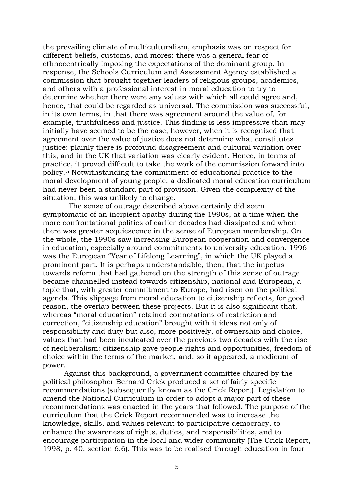the prevailing climate of multiculturalism, emphasis was on respect for different beliefs, customs, and mores: there was a general fear of ethnocentrically imposing the expectations of the dominant group. In response, the Schools Curriculum and Assessment Agency established a commission that brought together leaders of religious groups, academics, and others with a professional interest in moral education to try to determine whether there were any values with which all could agree and, hence, that could be regarded as universal. The commission was successful, in its own terms, in that there was agreement around the value of, for example, truthfulness and justice. This finding is less impressive than may initially have seemed to be the case, however, when it is recognised that agreement over the value of justice does not determine what constitutes justice: plainly there is profound disagreement and cultural variation over this, and in the UK that variation was clearly evident. Hence, in terms of practice, it proved difficult to take the work of the commission forward into policy.vi Notwithstanding the commitment of educational practice to the moral development of young people, a dedicated moral education curriculum had never been a standard part of provision. Given the complexity of the situation, this was unlikely to change.

 The sense of outrage described above certainly did seem symptomatic of an incipient apathy during the 1990s, at a time when the more confrontational politics of earlier decades had dissipated and when there was greater acquiescence in the sense of European membership. On the whole, the 1990s saw increasing European cooperation and convergence in education, especially around commitments to university education. 1996 was the European "Year of Lifelong Learning", in which the UK played a prominent part. It is perhaps understandable, then, that the impetus towards reform that had gathered on the strength of this sense of outrage became channelled instead towards citizenship, national and European, a topic that, with greater commitment to Europe, had risen on the political agenda. This slippage from moral education to citizenship reflects, for good reason, the overlap between these projects. But it is also significant that, whereas "moral education" retained connotations of restriction and correction, "citizenship education" brought with it ideas not only of responsibility and duty but also, more positively, of ownership and choice, values that had been inculcated over the previous two decades with the rise of neoliberalism: citizenship gave people rights and opportunities, freedom of choice within the terms of the market, and, so it appeared, a modicum of power.

 Against this background, a government committee chaired by the political philosopher Bernard Crick produced a set of fairly specific recommendations (subsequently known as the Crick Report). Legislation to amend the National Curriculum in order to adopt a major part of these recommendations was enacted in the years that followed. The purpose of the curriculum that the Crick Report recommended was to increase the knowledge, skills, and values relevant to participative democracy, to enhance the awareness of rights, duties, and responsibilities, and to encourage participation in the local and wider community (The Crick Report, 1998, p. 40, section 6.6). This was to be realised through education in four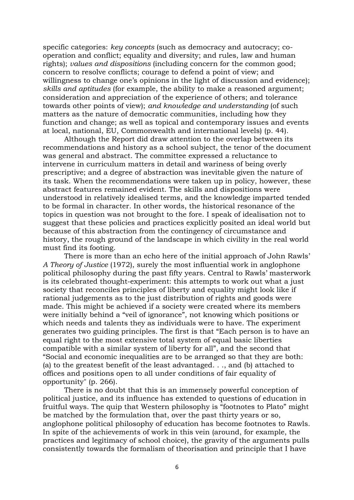specific categories: *key concepts* (such as democracy and autocracy; cooperation and conflict; equality and diversity; and rules, law and human rights); *values and dispositions* (including concern for the common good; concern to resolve conflicts; courage to defend a point of view; and willingness to change one's opinions in the light of discussion and evidence); *skills and aptitudes* (for example, the ability to make a reasoned argument; consideration and appreciation of the experience of others; and tolerance towards other points of view); *and knowledge and understanding* (of such matters as the nature of democratic communities, including how they function and change; as well as topical and contemporary issues and events at local, national, EU, Commonwealth and international levels) (p. 44).

Although the Report did draw attention to the overlap between its recommendations and history as a school subject, the tenor of the document was general and abstract. The committee expressed a reluctance to intervene in curriculum matters in detail and wariness of being overly prescriptive; and a degree of abstraction was inevitable given the nature of its task. When the recommendations were taken up in policy, however, these abstract features remained evident. The skills and dispositions were understood in relatively idealised terms, and the knowledge imparted tended to be formal in character. In other words, the historical resonance of the topics in question was not brought to the fore. I speak of idealisation not to suggest that these policies and practices explicitly posited an ideal world but because of this abstraction from the contingency of circumstance and history, the rough ground of the landscape in which civility in the real world must find its footing.

There is more than an echo here of the initial approach of John Rawls' *A Theory of Justice* (1972), surely the most influential work in anglophone political philosophy during the past fifty years. Central to Rawls' masterwork is its celebrated thought-experiment: this attempts to work out what a just society that reconciles principles of liberty and equality might look like if rational judgements as to the just distribution of rights and goods were made. This might be achieved if a society were created where its members were initially behind a "veil of ignorance", not knowing which positions or which needs and talents they as individuals were to have. The experiment generates two guiding principles. The first is that "Each person is to have an equal right to the most extensive total system of equal basic liberties compatible with a similar system of liberty for all", and the second that "Social and economic inequalities are to be arranged so that they are both: (a) to the greatest benefit of the least advantaged. . ., and (b) attached to offices and positions open to all under conditions of fair equality of opportunity" (p. 266).

There is no doubt that this is an immensely powerful conception of political justice, and its influence has extended to questions of education in fruitful ways. The quip that Western philosophy is "footnotes to Plato" might be matched by the formulation that, over the past thirty years or so, anglophone political philosophy of education has become footnotes to Rawls. In spite of the achievements of work in this vein (around, for example, the practices and legitimacy of school choice), the gravity of the arguments pulls consistently towards the formalism of theorisation and principle that I have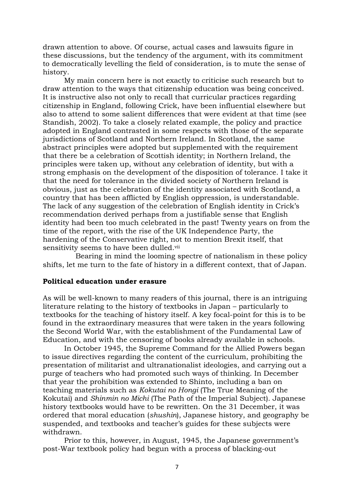drawn attention to above. Of course, actual cases and lawsuits figure in these discussions, but the tendency of the argument, with its commitment to democratically levelling the field of consideration, is to mute the sense of history.

My main concern here is not exactly to criticise such research but to draw attention to the ways that citizenship education was being conceived. It is instructive also not only to recall that curricular practices regarding citizenship in England, following Crick, have been influential elsewhere but also to attend to some salient differences that were evident at that time (see Standish, 2002). To take a closely related example, the policy and practice adopted in England contrasted in some respects with those of the separate jurisdictions of Scotland and Northern Ireland. In Scotland, the same abstract principles were adopted but supplemented with the requirement that there be a celebration of Scottish identity; in Northern Ireland, the principles were taken up, without any celebration of identity, but with a strong emphasis on the development of the disposition of tolerance. I take it that the need for tolerance in the divided society of Northern Ireland is obvious, just as the celebration of the identity associated with Scotland, a country that has been afflicted by English oppression, is understandable. The lack of any suggestion of the celebration of English identity in Crick's recommendation derived perhaps from a justifiable sense that English identity had been too much celebrated in the past! Twenty years on from the time of the report, with the rise of the UK Independence Party, the hardening of the Conservative right, not to mention Brexit itself, that sensitivity seems to have been dulled.vii

 Bearing in mind the looming spectre of nationalism in these policy shifts, let me turn to the fate of history in a different context, that of Japan.

## **Political education under erasure**

As will be well-known to many readers of this journal, there is an intriguing literature relating to the history of textbooks in Japan – particularly to textbooks for the teaching of history itself. A key focal-point for this is to be found in the extraordinary measures that were taken in the years following the Second World War, with the establishment of the Fundamental Law of Education, and with the censoring of books already available in schools.

In October 1945, the Supreme Command for the Allied Powers began to issue directives regarding the content of the curriculum, prohibiting the presentation of militarist and ultranationalist ideologies, and carrying out a purge of teachers who had promoted such ways of thinking. In December that year the prohibition was extended to Shinto, including a ban on teaching materials such as *Kokutai no Hongi* (The True Meaning of the Kokutai) and *Shinmin no Michi* (The Path of the Imperial Subject). Japanese history textbooks would have to be rewritten. On the 31 December, it was ordered that moral education (*shushin*), Japanese history, and geography be suspended, and textbooks and teacher's guides for these subjects were withdrawn.

Prior to this, however, in August, 1945, the Japanese government's post-War textbook policy had begun with a process of blacking-out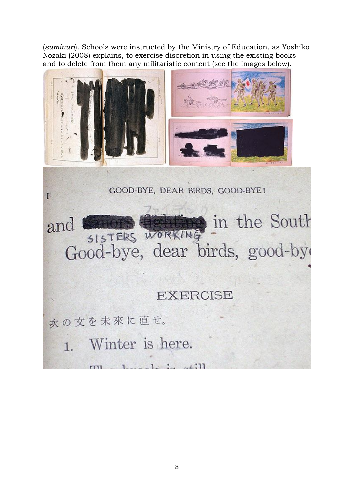(*suminuri*). Schools were instructed by the Ministry of Education, as Yoshiko Nozaki (2008) explains, to exercise discretion in using the existing books and to delete from them any militaristic content (see the images below).



GOOD-BYE, DEAR BIRDS, GOOD-BYE!



 $\perp$  11

次の文を未來に直せ。

 $\mathbf{I}$ 

1. Winter is here.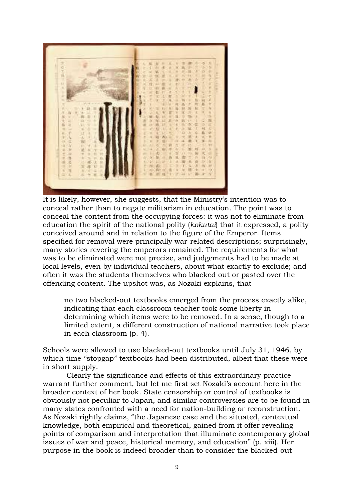

It is likely, however, she suggests, that the Ministry's intention was to conceal rather than to negate militarism in education. The point was to conceal the content from the occupying forces: it was not to eliminate from education the spirit of the national polity (*kokutai*) that it expressed, a polity conceived around and in relation to the figure of the Emperor. Items specified for removal were principally war-related descriptions; surprisingly, many stories revering the emperors remained. The requirements for what was to be eliminated were not precise, and judgements had to be made at local levels, even by individual teachers, about what exactly to exclude; and often it was the students themselves who blacked out or pasted over the offending content. The upshot was, as Nozaki explains, that

no two blacked-out textbooks emerged from the process exactly alike, indicating that each classroom teacher took some liberty in determining which items were to be removed. In a sense, though to a limited extent, a different construction of national narrative took place in each classroom (p. 4).

Schools were allowed to use blacked-out textbooks until July 31, 1946, by which time "stopgap" textbooks had been distributed, albeit that these were in short supply.

Clearly the significance and effects of this extraordinary practice warrant further comment, but let me first set Nozaki's account here in the broader context of her book. State censorship or control of textbooks is obviously not peculiar to Japan, and similar controversies are to be found in many states confronted with a need for nation-building or reconstruction. As Nozaki rightly claims, "the Japanese case and the situated, contextual knowledge, both empirical and theoretical, gained from it offer revealing points of comparison and interpretation that illuminate contemporary global issues of war and peace, historical memory, and education" (p. xiii). Her purpose in the book is indeed broader than to consider the blacked-out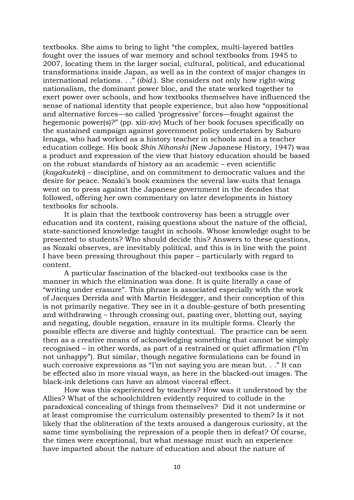textbooks. She aims to bring to light "the complex, multi-layered battles fought over the issues of war memory and school textbooks from 1945 to 2007, locating them in the larger social, cultural, political, and educational transformations inside Japan, as well as in the context of major changes in international relations. . ." (*ibid.*). She considers not only how right-wing nationalism, the dominant power bloc, and the state worked together to exert power over schools, and how textbooks themselves have influenced the sense of national identity that people experience, but also how "oppositional and alternative forces—so called 'progressive' forces—fought against the hegemonic power(s)?" (pp. xiii-xiv) Much of her book focuses specifically on the sustained campaign against government policy undertaken by Saburo Ienaga, who had worked as a history teacher in schools and in a teacher education college. His book *Shin Nihonshi* (New Japanese History, 1947) was a product and expression of the view that history education should be based on the robust standards of history as an academic – even scientific (*kagakuteki*) – discipline, and on commitment to democratic values and the desire for peace. Nozaki's book examines the several law-suits that Ienaga went on to press against the Japanese government in the decades that followed, offering her own commentary on later developments in history textbooks for schools.

It is plain that the textbook controversy has been a struggle over education and its content, raising questions about the nature of the official, state-sanctioned knowledge taught in schools. Whose knowledge ought to be presented to students? Who should decide this? Answers to these questions, as Nozaki observes, are inevitably political, and this is in line with the point I have been pressing throughout this paper – particularly with regard to content.

A particular fascination of the blacked-out textbooks case is the manner in which the elimination was done. It is quite literally a case of "writing under erasure". This phrase is associated especially with the work of Jacques Derrida and with Martin Heidegger, and their conception of this is not primarily negative. They see in it a double-gesture of both presenting and withdrawing – through crossing out, pasting over, blotting out, saying and negating, double negation, erasure in its multiple forms. Clearly the possible effects are diverse and highly contextual. The practice can be seen then as a creative means of acknowledging something that cannot be simply recognised – in other words, as part of a restrained or quiet affirmation ("I'm not unhappy"). But similar, though negative formulations can be found in such corrosive expressions as "I'm not saying you are mean but. . ." It can be effected also in more visual ways, as here in the blacked-out images. The black-ink deletions can have an almost visceral effect.

How was this experienced by teachers? How was it understood by the Allies? What of the schoolchildren evidently required to collude in the paradoxical concealing of things from themselves? Did it not undermine or at least compromise the curriculum ostensibly presented to them? Is it not likely that the obliteration of the texts aroused a dangerous curiosity, at the same time symbolising the repression of a people then in defeat? Of course, the times were exceptional, but what message must such an experience have imparted about the nature of education and about the nature of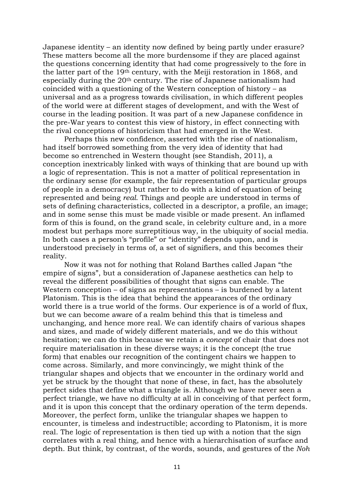Japanese identity – an identity now defined by being partly under erasure? These matters become all the more burdensome if they are placed against the questions concerning identity that had come progressively to the fore in the latter part of the 19th century, with the Meiji restoration in 1868, and especially during the 20th century. The rise of Japanese nationalism had coincided with a questioning of the Western conception of history – as universal and as a progress towards civilisation, in which different peoples of the world were at different stages of development, and with the West of course in the leading position. It was part of a new Japanese confidence in the pre-War years to contest this view of history, in effect connecting with the rival conceptions of historicism that had emerged in the West.

Perhaps this new confidence, asserted with the rise of nationalism, had itself borrowed something from the very idea of identity that had become so entrenched in Western thought (see Standish, 2011), a conception inextricably linked with ways of thinking that are bound up with a logic of representation. This is not a matter of political representation in the ordinary sense (for example, the fair representation of particular groups of people in a democracy) but rather to do with a kind of equation of being represented and being *real*. Things and people are understood in terms of sets of defining characteristics, collected in a descriptor, a profile, an image; and in some sense this must be made visible or made present. An inflamed form of this is found, on the grand scale, in celebrity culture and, in a more modest but perhaps more surreptitious way, in the ubiquity of social media. In both cases a person's "profile" or "identity" depends upon, and is understood precisely in terms of, a set of signifiers, and this becomes their reality.

Now it was not for nothing that Roland Barthes called Japan "the empire of signs", but a consideration of Japanese aesthetics can help to reveal the different possibilities of thought that signs can enable. The Western conception – of signs as representations – is burdened by a latent Platonism. This is the idea that behind the appearances of the ordinary world there is a true world of the forms. Our experience is of a world of flux, but we can become aware of a realm behind this that is timeless and unchanging, and hence more real. We can identify chairs of various shapes and sizes, and made of widely different materials, and we do this without hesitation; we can do this because we retain a *concept* of chair that does not require materialisation in these diverse ways; it is the concept (the true form) that enables our recognition of the contingent chairs we happen to come across. Similarly, and more convincingly, we might think of the triangular shapes and objects that we encounter in the ordinary world and yet be struck by the thought that none of these, in fact, has the absolutely perfect sides that define what a triangle is. Although we have never seen a perfect triangle, we have no difficulty at all in conceiving of that perfect form, and it is upon this concept that the ordinary operation of the term depends. Moreover, the perfect form, unlike the triangular shapes we happen to encounter, is timeless and indestructible; according to Platonism, it is more real. The logic of representation is then tied up with a notion that the sign correlates with a real thing, and hence with a hierarchisation of surface and depth. But think, by contrast, of the words, sounds, and gestures of the *Noh*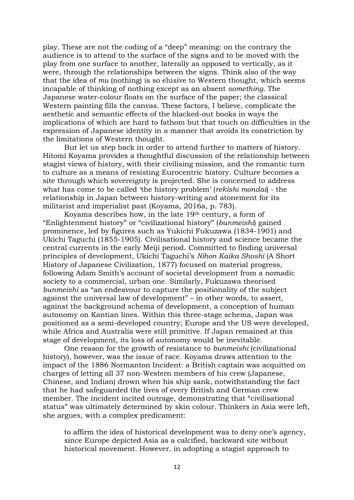play. These are not the coding of a "deep" meaning: on the contrary the audience is to attend to the surface of the signs and to be moved with the play from one surface to another, laterally as opposed to vertically, as it were, through the relationships between the signs. Think also of the way that the idea of *mu* (nothing) is so elusive to Western thought, which seems incapable of thinking of nothing except as an absent *something*. The Japanese water-colour floats on the surface of the paper; the classical Western painting fills the canvas. These factors, I believe, complicate the aesthetic and semantic effects of the blacked-out books in ways the implications of which are hard to fathom but that touch on difficulties in the expression of Japanese identity in a manner that avoids its constriction by the limitations of Western thought.

But let us step back in order to attend further to matters of history. Hitomi Koyama provides a thoughtful discussion of the relationship between stagist views of history, with their civilising mission, and the romantic turn to culture as a means of resisting Eurocentric history. Culture becomes a site through which sovereignty is projected. She is concerned to address what has come to be called 'the history problem' (*rekishi mondai*) - the relationship in Japan between history-writing and atonement for its militarist and imperialist past (Koyama, 2016a, p. 783).

Koyama describes how, in the late 19th century, a form of "Enlightenment history" or "civilizational history" (*bunmeishi*) gained prominence, led by figures such as Yukichi Fukuzawa (1834-1901) and Ukichi Taguchi (1855-1905). Civilisational history and science became the central currents in the early Meiji period. Committed to finding universal principles of development, Ukichi Taguchi's *Nihon Kaika Shoshi* (A Short History of Japanese Civilization, 1877) focused on material progress, following Adam Smith's account of societal development from a nomadic society to a commercial, urban one. Similarly, Fukuzawa theorised *bunmeishi* as "an endeavour to capture the positionality of the subject against the universal law of development" – in other words, to assert, against the background schema of development, a conception of human autonomy on Kantian lines. Within this three-stage schema, Japan was positioned as a semi-developed country; Europe and the US were developed, while Africa and Australia were still primitive. If Japan remained at this stage of development, its loss of autonomy would be inevitable.

One reason for the growth of resistance to *bunmeishi* (civilizational history), however, was the issue of race. Koyama draws attention to the impact of the 1886 Normanton Incident: a British captain was acquitted on charges of letting all 37 non-Western members of his crew (Japanese, Chinese, and Indian) drown when his ship sank, notwithstanding the fact that he had safeguarded the lives of every British and German crew member. The incident incited outrage, demonstrating that "civilisational status" was ultimately determined by skin colour. Thinkers in Asia were left, she argues, with a complex predicament:

to affirm the idea of historical development was to deny one's agency, since Europe depicted Asia as a calcified, backward site without historical movement. However, in adopting a stagist approach to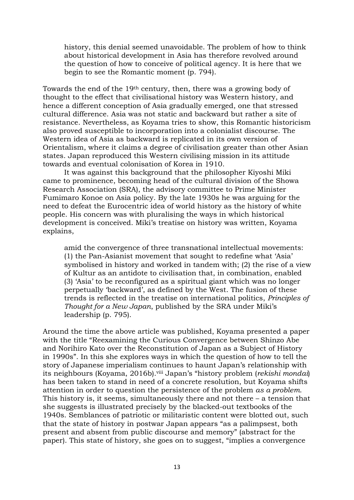history, this denial seemed unavoidable. The problem of how to think about historical development in Asia has therefore revolved around the question of how to conceive of political agency. It is here that we begin to see the Romantic moment (p. 794).

Towards the end of the 19th century, then, there was a growing body of thought to the effect that civilisational history was Western history, and hence a different conception of Asia gradually emerged, one that stressed cultural difference. Asia was not static and backward but rather a site of resistance. Nevertheless, as Koyama tries to show, this Romantic historicism also proved susceptible to incorporation into a colonialist discourse. The Western idea of Asia as backward is replicated in its own version of Orientalism, where it claims a degree of civilisation greater than other Asian states. Japan reproduced this Western civilising mission in its attitude towards and eventual colonisation of Korea in 1910.

It was against this background that the philosopher Kiyoshi Miki came to prominence, becoming head of the cultural division of the Showa Research Association (SRA), the advisory committee to Prime Minister Fumimaro Konoe on Asia policy. By the late 1930s he was arguing for the need to defeat the Eurocentric idea of world history as the history of white people. His concern was with pluralising the ways in which historical development is conceived. Miki's treatise on history was written, Koyama explains,

amid the convergence of three transnational intellectual movements: (1) the Pan-Asianist movement that sought to redefine what 'Asia' symbolised in history and worked in tandem with; (2) the rise of a view of Kultur as an antidote to civilisation that, in combination, enabled (3) 'Asia' to be reconfigured as a spiritual giant which was no longer perpetually 'backward', as defined by the West. The fusion of these trends is reflected in the treatise on international politics, *Principles of Thought for a New Japan*, published by the SRA under Miki's leadership (p. 795).

Around the time the above article was published, Koyama presented a paper with the title "Reexamining the Curious Convergence between Shinzo Abe and Norihiro Kato over the Reconstitution of Japan as a Subject of History in 1990s". In this she explores ways in which the question of how to tell the story of Japanese imperialism continues to haunt Japan's relationship with its neighbours (Koyama, 2016b). viii Japan's "history problem (*rekishi mondai*) has been taken to stand in need of a concrete resolution, but Koyama shifts attention in order to question the persistence of the problem *as a problem*. This history is, it seems, simultaneously there and not there  $-$  a tension that she suggests is illustrated precisely by the blacked-out textbooks of the 1940s. Semblances of patriotic or militaristic content were blotted out, such that the state of history in postwar Japan appears "as a palimpsest, both present and absent from public discourse and memory" (abstract for the paper). This state of history, she goes on to suggest, "implies a convergence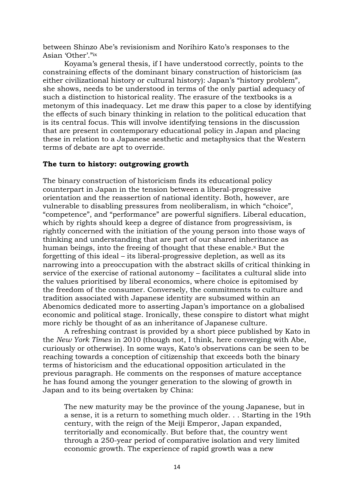between Shinzo Abe's revisionism and Norihiro Kato's responses to the Asian 'Other'."ix

Koyama's general thesis, if I have understood correctly, points to the constraining effects of the dominant binary construction of historicism (as either civilizational history or cultural history): Japan's "history problem", she shows, needs to be understood in terms of the only partial adequacy of such a distinction to historical reality. The erasure of the textbooks is a metonym of this inadequacy. Let me draw this paper to a close by identifying the effects of such binary thinking in relation to the political education that is its central focus. This will involve identifying tensions in the discussion that are present in contemporary educational policy in Japan and placing these in relation to a Japanese aesthetic and metaphysics that the Western terms of debate are apt to override.

## **The turn to history: outgrowing growth**

The binary construction of historicism finds its educational policy counterpart in Japan in the tension between a liberal-progressive orientation and the reassertion of national identity. Both, however, are vulnerable to disabling pressures from neoliberalism, in which "choice", "competence", and "performance" are powerful signifiers. Liberal education, which by rights should keep a degree of distance from progressivism, is rightly concerned with the initiation of the young person into those ways of thinking and understanding that are part of our shared inheritance as human beings, into the freeing of thought that these enable. <sup>x</sup> But the forgetting of this ideal – its liberal-progressive depletion, as well as its narrowing into a preoccupation with the abstract skills of critical thinking in service of the exercise of rational autonomy – facilitates a cultural slide into the values prioritised by liberal economics, where choice is epitomised by the freedom of the consumer. Conversely, the commitments to culture and tradition associated with Japanese identity are subsumed within an Abenomics dedicated more to asserting Japan's importance on a globalised economic and political stage. Ironically, these conspire to distort what might more richly be thought of as an inheritance of Japanese culture.

A refreshing contrast is provided by a short piece published by Kato in the *New York Times* in 2010 (though not, I think, here converging with Abe, curiously or otherwise). In some ways, Kato's observations can be seen to be reaching towards a conception of citizenship that exceeds both the binary terms of historicism and the educational opposition articulated in the previous paragraph. He comments on the responses of mature acceptance he has found among the younger generation to the slowing of growth in Japan and to its being overtaken by China:

The new maturity may be the province of the young Japanese, but in a sense, it is a return to something much older. . . Starting in the 19th century, with the reign of the Meiji Emperor, Japan expanded, territorially and economically. But before that, the country went through a 250-year period of comparative isolation and very limited economic growth. The experience of rapid growth was a new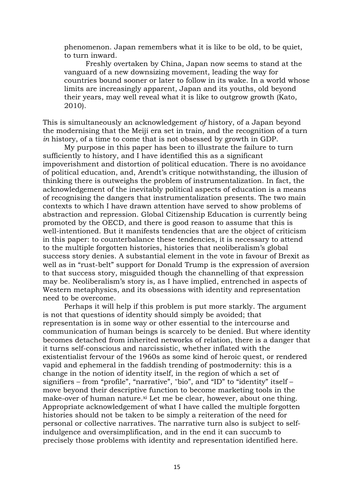phenomenon. Japan remembers what it is like to be old, to be quiet, to turn inward.

Freshly overtaken by China, Japan now seems to stand at the vanguard of a new downsizing movement, leading the way for countries bound sooner or later to follow in its wake. In a world whose limits are increasingly apparent, Japan and its youths, old beyond their years, may well reveal what it is like to outgrow growth (Kato, 2010).

This is simultaneously an acknowledgement *of* history, of a Japan beyond the modernising that the Meiji era set in train, and the recognition of a turn *in* history, of a time to come that is not obsessed by growth in GDP.

My purpose in this paper has been to illustrate the failure to turn sufficiently to history, and I have identified this as a significant impoverishment and distortion of political education. There is no avoidance of political education, and, Arendt's critique notwithstanding, the illusion of thinking there is outweighs the problem of instrumentalization. In fact, the acknowledgement of the inevitably political aspects of education is a means of recognising the dangers that instrumentalization presents. The two main contexts to which I have drawn attention have served to show problems of abstraction and repression. Global Citizenship Education is currently being promoted by the OECD, and there is good reason to assume that this is well-intentioned. But it manifests tendencies that are the object of criticism in this paper: to counterbalance these tendencies, it is necessary to attend to the multiple forgotten histories, histories that neoliberalism's global success story denies. A substantial element in the vote in favour of Brexit as well as in "rust-belt" support for Donald Trump is the expression of aversion to that success story, misguided though the channelling of that expression may be. Neoliberalism's story is, as I have implied, entrenched in aspects of Western metaphysics, and its obsessions with identity and representation need to be overcome.

Perhaps it will help if this problem is put more starkly. The argument is not that questions of identity should simply be avoided; that representation is in some way or other essential to the intercourse and communication of human beings is scarcely to be denied. But where identity becomes detached from inherited networks of relation, there is a danger that it turns self-conscious and narcissistic, whether inflated with the existentialist fervour of the 1960s as some kind of heroic quest, or rendered vapid and ephemeral in the faddish trending of postmodernity: this is a change in the notion of identity itself, in the region of which a set of signifiers – from "profile", "narrative", "bio", and "ID" to "identity" itself – move beyond their descriptive function to become marketing tools in the make-over of human nature.<sup>xi</sup> Let me be clear, however, about one thing. Appropriate acknowledgement of what I have called the multiple forgotten histories should not be taken to be simply a reiteration of the need for personal or collective narratives. The narrative turn also is subject to selfindulgence and oversimplification, and in the end it can succumb to precisely those problems with identity and representation identified here.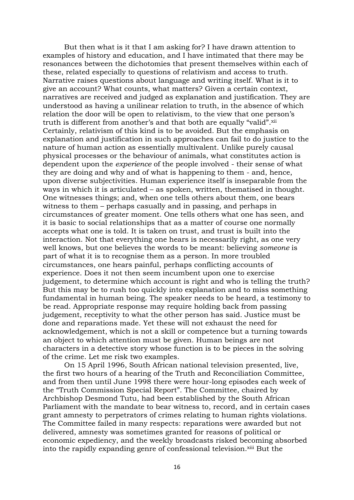But then what is it that I am asking for? I have drawn attention to examples of history and education, and I have intimated that there may be resonances between the dichotomies that present themselves within each of these, related especially to questions of relativism and access to truth. Narrative raises questions about language and writing itself. What is it to give an account? What counts, what matters? Given a certain context, narratives are received and judged as explanation and justification. They are understood as having a unilinear relation to truth, in the absence of which relation the door will be open to relativism, to the view that one person's truth is different from another's and that both are equally "valid".xii Certainly, relativism of this kind is to be avoided. But the emphasis on explanation and justification in such approaches can fail to do justice to the nature of human action as essentially multivalent. Unlike purely causal physical processes or the behaviour of animals, what constitutes action is dependent upon the *experience* of the people involved - their sense of what they are doing and why and of what is happening to them - and, hence, upon diverse subjectivities. Human experience itself is inseparable from the ways in which it is articulated – as spoken, written, thematised in thought. One witnesses things; and, when one tells others about them, one bears witness to them – perhaps casually and in passing, and perhaps in circumstances of greater moment. One tells others what one has seen, and it is basic to social relationships that as a matter of course one normally accepts what one is told. It is taken on trust, and trust is built into the interaction. Not that everything one hears is necessarily right, as one very well knows, but one believes the words to be meant: believing *someone* is part of what it is to recognise them as a person. In more troubled circumstances, one hears painful, perhaps conflicting accounts of experience. Does it not then seem incumbent upon one to exercise judgement, to determine which account is right and who is telling the truth? But this may be to rush too quickly into explanation and to miss something fundamental in human being. The speaker needs to be heard, a testimony to be read. Appropriate response may require holding back from passing judgement, receptivity to what the other person has said. Justice must be done and reparations made. Yet these will not exhaust the need for acknowledgement, which is not a skill or competence but a turning towards an object to which attention must be given. Human beings are not characters in a detective story whose function is to be pieces in the solving of the crime. Let me risk two examples.

On 15 April 1996, South African national television presented, live, the first two hours of a hearing of the Truth and Reconciliation Committee, and from then until June 1998 there were hour-long episodes each week of the "[Truth Commission Special Report](https://en.wikipedia.org/w/index.php?title=Truth_Commission_Special_Report&action=edit&redlink=1)". The Committee, chaired by Archbishop Desmond Tutu, had been established by the South African Parliament with the mandate to bear witness to, record, and in certain cases grant amnesty to perpetrators of crimes relating to human rights violations. The Committee failed in many respects: reparations were awarded but not delivered, amnesty was sometimes granted for reasons of political or economic expediency, and the weekly broadcasts risked becoming absorbed into the rapidly expanding genre of confessional television.xiii But the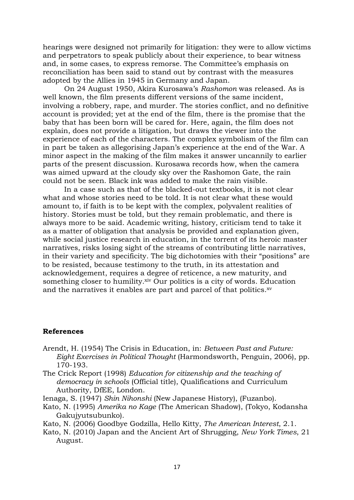hearings were designed not primarily for litigation: they were to allow victims and perpetrators to speak publicly about their experience, to bear witness and, in some cases, to express remorse. The Committee's emphasis on [reconciliation](https://en.wikipedia.org/wiki/Conflict_resolution) has been said to stand out by contrast with the measures adopted by the Allies in 1945 in Germany and Japan.

On 24 August 1950, Akira Kurosawa's *Rashomon* was released. As is well known, the film presents different versions of the same incident, involving a robbery, rape, and murder. The stories conflict, and no definitive account is provided; yet at the end of the film, there is the promise that the baby that has been born will be cared for. Here, again, the film does not explain, does not provide a litigation, but draws the viewer into the experience of each of the characters. The complex symbolism of the film can in part be taken as allegorising Japan's experience at the end of the War. A minor aspect in the making of the film makes it answer uncannily to earlier parts of the present discussion. Kurosawa records how, when the camera was aimed upward at the cloudy sky over the Rashomon Gate, the rain could not be seen. Black ink was added to make the rain visible.

In a case such as that of the blacked-out textbooks, it is not clear what and whose stories need to be told. It is not clear what these would amount to, if faith is to be kept with the complex, polyvalent realities of history. Stories must be told, but they remain problematic, and there is always more to be said. Academic writing, history, criticism tend to take it as a matter of obligation that analysis be provided and explanation given, while social justice research in education, in the torrent of its heroic master narratives, risks losing sight of the streams of contributing little narratives, in their variety and specificity. The big dichotomies with their "positions" are to be resisted, because testimony to the truth, in its attestation and acknowledgement, requires a degree of reticence, a new maturity, and something closer to humility.<sup>xiv</sup> Our politics is a city of words. Education and the narratives it enables are part and parcel of that politics.<sup>xv</sup>

## **References**

- Arendt, H. (1954) The Crisis in Education, in: *Between Past and Future: Eight Exercises in Political Thought* (Harmondsworth, Penguin, 2006), pp. 170-193.
- The Crick Report (1998) *Education for citizenship and the teaching of democracy in schools* (Official title), Qualifications and Curriculum Authority, DfEE, London.
- Ienaga, S. (1947) *Shin Nihonshi* (New Japanese History), (Fuzanbo).
- Kato, N. (1995) *Amerika no Kage* (The American Shadow), (Tokyo, Kodansha Gakujyutsubunko).
- Kato, N. (2006) Goodbye Godzilla, Hello Kitty, *The American Interest*, 2.1.
- Kato, N. (2010) Japan and the Ancient Art of Shrugging, *New York Times*, 21 August.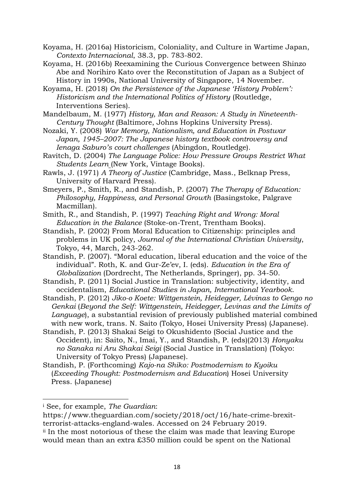Koyama, H. (2016a) Historicism, Coloniality, and Culture in Wartime Japan, *Contexto Internacional*, 38.3, pp. 783-802.

Koyama, H. (2016b) Reexamining the Curious Convergence between Shinzo Abe and Norihiro Kato over the Reconstitution of Japan as a Subject of History in 1990s, National University of Singapore, 14 November.

Koyama, H. (2018) *On the Persistence of the Japanese 'History Problem': Historicism and the International Politics of History* (Routledge, Interventions Series).

Mandelbaum, M. (1977) *History, Man and Reason: A Study in Nineteenth-Century Thought* (Baltimore, Johns Hopkins University Press).

Nozaki, Y. (2008) *War Memory, Nationalism, and Education in Postwar Japan, 1945–2007: The Japanese history textbook controversy and Ienaga Saburo's court challenges* (Abingdon, Routledge).

Ravitch, D. (2004) *The Language Police: How Pressure Groups Restrict What Students Learn* (New York, Vintage Books).

Rawls, J. (1971) *A Theory of Justice* (Cambridge, Mass., Belknap Press, University of Harvard Press).

Smeyers, P., Smith, R., and Standish, P. (2007) *The Therapy of Education: Philosophy, Happiness, and Personal Growth* (Basingstoke, Palgrave Macmillan).

Smith, R., and Standish, P. (1997) *Teaching Right and Wrong: Moral Education in the Balance* (Stoke-on-Trent, Trentham Books).

Standish, P. (2002) From Moral Education to Citizenship: principles and problems in UK policy, *Journal of the International Christian University*, Tokyo, 44, March, 243-262.

Standish, P. (2007). "Moral education, liberal education and the voice of the individual". Roth, K. and Gur-Ze'ev, I. (eds). *Education in the Era of Globalization* (Dordrecht, The Netherlands, Springer), pp. 34-50.

Standish, P. (2011) Social Justice in Translation: subjectivity, identity, and occidentalism, *Educational Studies in Japan, International Yearbook*.

Standish, P. (2012) *Jiko-o Koete: Wittgenstein, Heidegger, Lévinas to Gengo no Genkai* (*Beyond the Self: Wittgenstein, Heidegger, Levinas and the Limits of Language*), a substantial revision of previously published material combined with new work, trans. N. Saito (Tokyo, Hosei University Press) (Japanese).

Standish, P. (2013) Shakai Seigi to Okushidento (Social Justice and the Occident), in: Saito, N., Imai, Y., and Standish, P. (eds)(2013) *Honyaku no Sanaka ni Aru Shakai Seigi* (Social Justice in Translation) (Tokyo: University of Tokyo Press) (Japanese).

Standish, P. (Forthcoming) *Kajo-na Shiko: Postmodernism to Kyoiku* (*Exceeding Thought: Postmodernism and Education*) Hosei University Press. (Japanese)

**.** 

<sup>i</sup> See, for example, *The Guardian*:

https://www.theguardian.com/society/2018/oct/16/hate-crime-brexitterrorist-attacks-england-wales. Accessed on 24 February 2019.

ii In the most notorious of these the claim was made that leaving Europe would mean than an extra £350 million could be spent on the National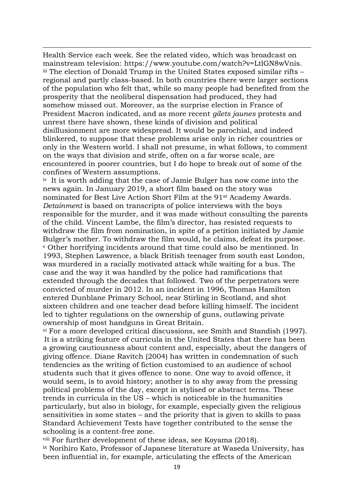Health Service each week. See the related video, which was broadcast on mainstream television: https://www.youtube.com/watch?v=LtlGN8wVnis. iii The election of Donald Trump in the United States exposed similar rifts – regional and partly class-based. In both countries there were larger sections of the population who felt that, while so many people had benefited from the prosperity that the neoliberal dispensation had produced, they had somehow missed out. Moreover, as the surprise election in France of President Macron indicated, and as more recent *gilets jaunes* protests and unrest there have shown, these kinds of division and political disillusionment are more widespread. It would be parochial, and indeed blinkered, to suppose that these problems arise only in richer countries or only in the Western world. I shall not presume, in what follows, to comment on the ways that division and strife, often on a far worse scale, are encountered in poorer countries, but I do hope to break out of some of the confines of Western assumptions.

**.** 

iv It is worth adding that the case of Jamie Bulger has now come into the news again. In January 2019, a short film based on the story was nominated for Best Live Action Short Film at the 91st Academy Awards. *Detainment* is based on transcripts of police interviews with the boys responsible for the murder, and it was made without consulting the parents of the child. Vincent Lambe, the film's director, has resisted requests to withdraw the film from nomination, in spite of a petition initiated by Jamie Bulger's mother. To withdraw the film would, he claims, defeat its purpose. <sup>v</sup> Other horrifying incidents around that time could also be mentioned. In 1993, Stephen Lawrence, a [black British](https://en.wikipedia.org/wiki/Black_British) teenager from [south east London,](https://en.wikipedia.org/wiki/South_East_(London_sub_region)) was murdered in a [racially motivated attack](https://en.wikipedia.org/wiki/Hate_crime) while waiting for a bus. The case and the way it was handled by the police had ramifications that extended through the decades that followed. Two of the perpetrators were convicted of murder in 2012. In an incident in 1996, Thomas Hamilton entered [Dunblane Primary School,](https://en.wikipedia.org/wiki/Dunblane_Primary_School) near [Stirling](https://en.wikipedia.org/wiki/Stirling) in Scotland, and shot sixteen children and one teacher dead before killing himself. The incident led to tighter regulations on the ownership of guns, outlawing private ownership of most handguns in [Great Britain.](https://en.wikipedia.org/wiki/Great_Britain)

vi For a more developed critical discussions, see Smith and Standish (1997). It is a striking feature of curricula in the United States that there has been a growing cautiousness about content and, especially, about the dangers of giving offence. Diane Ravitch (2004) has written in condemnation of such tendencies as the writing of fiction customised to an audience of school students such that it gives offence to none. One way to avoid offence, it would seem, is to avoid history; another is to shy away from the pressing political problems of the day, except in stylised or abstract terms. These trends in curricula in the US – which is noticeable in the humanities particularly, but also in biology, for example, especially given the religious sensitivities in some states – and the priority that is given to skills to pass Standard Achievement Tests have together contributed to the sense the schooling is a content-free zone.

viii For further development of these ideas, see Koyama (2018). ix Norihiro Kato, Professor of Japanese literature at Waseda University, has been influential in, for example, articulating the effects of the American